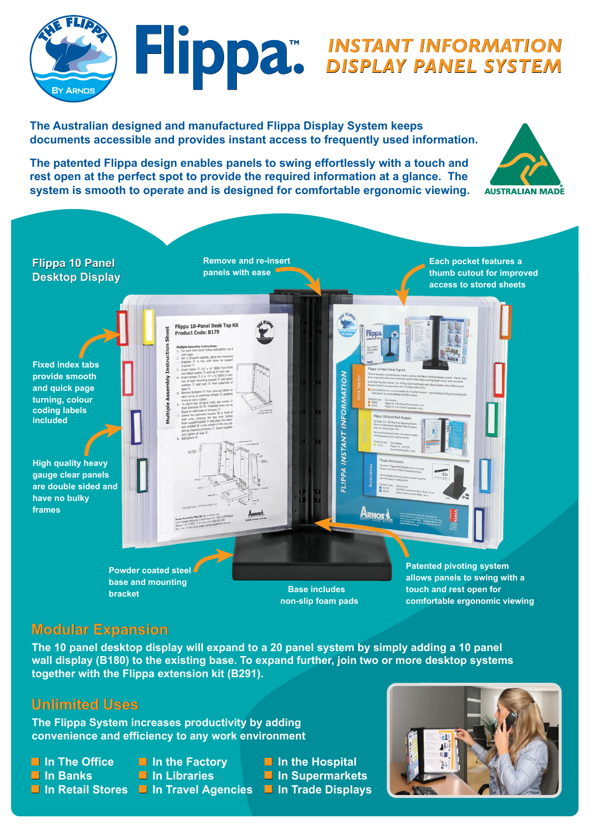

**The Australian designed and manufactured Flippa Display System keeps documents accessible and provides instant access to frequently used information.**

**The patented Flippa design enables panels to swing effortlessly with a touch and rest open at the perfect spot to provide the required information at a glance. The system is smooth to operate and is designed for comfortable ergonomic viewing.**



**Remove and re-insert Flippa 10 Panel**<br>**Panels with ease**<br>**Panels with ease Each pocket features a Desktop Display Flippa 10 PanelDesktop Displaythumb cutout for improved access to stored sheets** Flippa 10-Panel Desk Top Kit Product Code: B179 netruction **Fixed index tabs provide smooth FLIPPA INSTANT INFORMATION and quick page turning, colour coding labels included High quality heavy gauge clear panels are double sided and have no bulky frames** <u>Arnos</u> **Powder coated steel Patented pivoting system allows panels to swing with a base and mounting Base includes touch and rest open for bracket**

**Modular Expansion**

**The 10 panel desktop display will expand to a 20 panel system by simply adding a 10 panel wall display (B180) to the existing base. To expand further, join two or more desktop systems together with the Flippa extension kit (B291).**



**The Flippa System increases productivity by adding convenience and efficiency to any work environment**

- 
- 
- 
- 
- -
- **In The Office In the Factory In the Hospital In Banks In Libraries In Supermarkets In Retail Stores In Travel Agencies In Trade Displays**

**non-slip foam pads**



**comfortable ergonomic viewing**